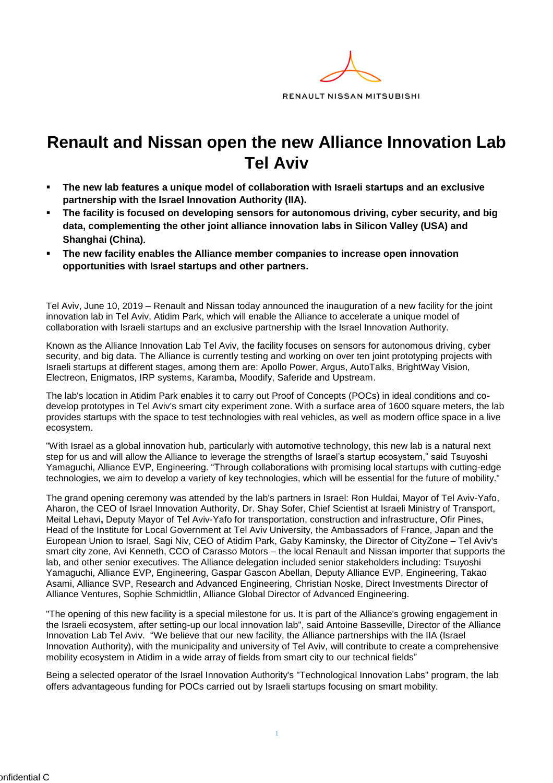

## **Renault and Nissan open the new Alliance Innovation Lab Tel Aviv**

- The new lab features a unique model of collaboration with Israeli startups and an exclusive **partnership with the Israel Innovation Authority (IIA).**
- **The facility is focused on developing sensors for autonomous driving, cyber security, and big data, complementing the other joint alliance innovation labs in Silicon Valley (USA) and Shanghai (China)**.
- The new facility enables the Alliance member companies to increase open innovation **opportunities with Israel startups and other partners.**

Tel Aviv, June 10, 2019 – Renault and Nissan today announced the inauguration of a new facility for the joint innovation lab in Tel Aviv, Atidim Park, which will enable the Alliance to accelerate a unique model of collaboration with Israeli startups and an exclusive partnership with the Israel Innovation Authority.

Known as the Alliance Innovation Lab Tel Aviv, the facility focuses on sensors for autonomous driving, cyber security, and big data. The Alliance is currently testing and working on over ten joint prototyping projects with Israeli startups at different stages, among them are: Apollo Power, Argus, AutoTalks, BrightWay Vision, Electreon, Enigmatos, IRP systems, Karamba, Moodify, Saferide and Upstream.

The lab's location in Atidim Park enables it to carry out Proof of Concepts (POCs) in ideal conditions and codevelop prototypes in Tel Aviv's smart city experiment zone. With a surface area of 1600 square meters, the lab provides startups with the space to test technologies with real vehicles, as well as modern office space in a live ecosystem.

"With Israel as a global innovation hub, particularly with automotive technology, this new lab is a natural next step for us and will allow the Alliance to leverage the strengths of Israel's startup ecosystem," said Tsuyoshi Yamaguchi, Alliance EVP, Engineering. "Through collaborations with promising local startups with cutting-edge technologies, we aim to develop a variety of key technologies, which will be essential for the future of mobility."

The grand opening ceremony was attended by the lab's partners in Israel: Ron Huldai, Mayor of Tel Aviv-Yafo, Aharon, the CEO of Israel Innovation Authority, Dr. Shay Sofer, Chief Scientist at Israeli Ministry of Transport, Meital Lehavi**,** Deputy Mayor of Tel Aviv-Yafo for transportation, construction and infrastructure, Ofir Pines, Head of the Institute for Local Government at Tel Aviv University, the Ambassadors of France, Japan and the European Union to Israel, Sagi Niv, CEO of Atidim Park, Gaby Kaminsky, the Director of CityZone – Tel Aviv's smart city zone, Avi Kenneth, CCO of Carasso Motors – the local Renault and Nissan importer that supports the lab, and other senior executives. The Alliance delegation included senior stakeholders including: Tsuyoshi Yamaguchi, Alliance EVP, Engineering, Gaspar Gascon Abellan, Deputy Alliance EVP, Engineering, Takao Asami, Alliance SVP, Research and Advanced Engineering, Christian Noske, Direct Investments Director of Alliance Ventures, Sophie Schmidtlin, Alliance Global Director of Advanced Engineering.

"The opening of this new facility is a special milestone for us. It is part of the Alliance's growing engagement in the Israeli ecosystem, after setting-up our local innovation lab", said Antoine Basseville, Director of the Alliance Innovation Lab Tel Aviv. "We believe that our new facility, the Alliance partnerships with the IIA (Israel Innovation Authority), with the municipality and university of Tel Aviv, will contribute to create a comprehensive mobility ecosystem in Atidim in a wide array of fields from smart city to our technical fields"

Being a selected operator of the Israel Innovation Authority's "Technological Innovation Labs" program, the lab offers advantageous funding for POCs carried out by Israeli startups focusing on smart mobility.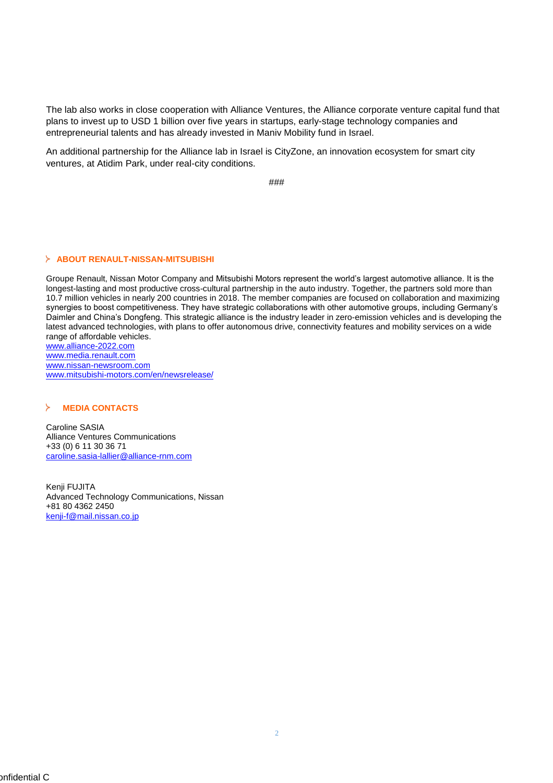The lab also works in close cooperation with Alliance Ventures, the Alliance corporate venture capital fund that plans to invest up to USD 1 billion over five years in startups, early-stage technology companies and entrepreneurial talents and has already invested in Maniv Mobility fund in Israel.

An additional partnership for the Alliance lab in Israel is CityZone, an innovation ecosystem for smart city ventures, at Atidim Park, under real-city conditions.

###

## **ABOUT RENAULT-NISSAN-MITSUBISHI**

Groupe Renault, Nissan Motor Company and Mitsubishi Motors represent the world's largest automotive alliance. It is the longest-lasting and most productive cross-cultural partnership in the auto industry. Together, the partners sold more than 10.7 million vehicles in nearly 200 countries in 2018. The member companies are focused on collaboration and maximizing synergies to boost competitiveness. They have strategic collaborations with other automotive groups, including Germany's Daimler and China's Dongfeng. This strategic alliance is the industry leader in zero-emission vehicles and is developing the latest advanced technologies, with plans to offer autonomous drive, connectivity features and mobility services on a wide range of affordable vehicles.

www.alliance-2022.com [www.media.renault.com](http://www.media.renault.com/) [www.nissan-newsroom.com](http://www.nissan-newsroom.com/) [www.mitsubishi-motors.com/en/newsrelease/](http://www.mitsubishi-motors.com/en/newsrelease/)

## ⋟ **MEDIA CONTACTS**

Caroline SASIA Alliance Ventures Communications +33 (0) 6 11 30 36 71 [caroline.sasia-lallier@alliance-rnm.com](mailto:caroline.sasia-lallier@alliance-rnm.com)

Kenji FUJITA Advanced Technology Communications, Nissan +81 80 4362 2450 kenji-f@mail.nissan.co.jp